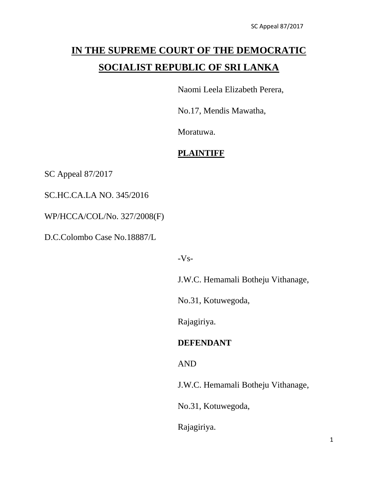# **IN THE SUPREME COURT OF THE DEMOCRATIC SOCIALIST REPUBLIC OF SRI LANKA**

Naomi Leela Elizabeth Perera,

No.17, Mendis Mawatha,

Moratuwa.

## **PLAINTIFF**

SC Appeal 87/2017

SC.HC.CA.LA NO. 345/2016

WP/HCCA/COL/No. 327/2008(F)

D.C.Colombo Case No.18887/L

 $-Vs-$ 

J.W.C. Hemamali Botheju Vithanage,

No.31, Kotuwegoda,

Rajagiriya.

## **DEFENDANT**

AND

J.W.C. Hemamali Botheju Vithanage,

No.31, Kotuwegoda,

Rajagiriya.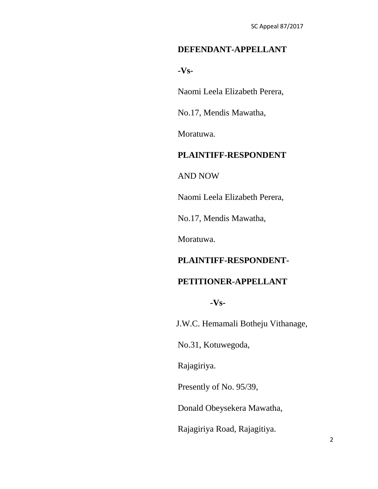# **DEFENDANT-APPELLANT**

**-Vs-**

Naomi Leela Elizabeth Perera,

No.17, Mendis Mawatha,

Moratuwa.

# **PLAINTIFF-RESPONDENT**

AND NOW

Naomi Leela Elizabeth Perera,

No.17, Mendis Mawatha,

Moratuwa.

## **PLAINTIFF-RESPONDENT-**

#### **PETITIONER-APPELLANT**

**-Vs-**

J.W.C. Hemamali Botheju Vithanage,

No.31, Kotuwegoda,

Rajagiriya.

Presently of No. 95/39,

Donald Obeysekera Mawatha,

Rajagiriya Road, Rajagitiya.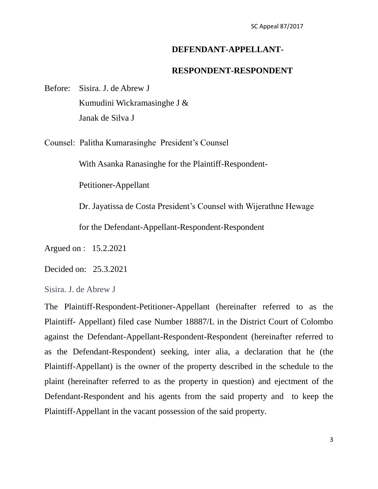### **DEFENDANT-APPELLANT-**

#### **RESPONDENT-RESPONDENT**

Before: Sisira. J. de Abrew J Kumudini Wickramasinghe J & Janak de Silva J

Counsel: Palitha Kumarasinghe President"s Counsel

With Asanka Ranasinghe for the Plaintiff-Respondent-

Petitioner-Appellant

Dr. Jayatissa de Costa President"s Counsel with Wijerathne Hewage

for the Defendant-Appellant-Respondent-Respondent

Argued on : 15.2.2021

Decided on: 25.3.2021

Sisira. J. de Abrew J

The Plaintiff-Respondent-Petitioner-Appellant (hereinafter referred to as the Plaintiff- Appellant) filed case Number 18887/L in the District Court of Colombo against the Defendant-Appellant-Respondent-Respondent (hereinafter referred to as the Defendant-Respondent) seeking, inter alia, a declaration that he (the Plaintiff-Appellant) is the owner of the property described in the schedule to the plaint (hereinafter referred to as the property in question) and ejectment of the Defendant-Respondent and his agents from the said property and to keep the Plaintiff-Appellant in the vacant possession of the said property.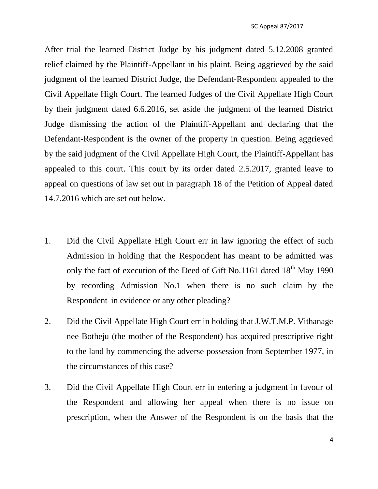After trial the learned District Judge by his judgment dated 5.12.2008 granted relief claimed by the Plaintiff-Appellant in his plaint. Being aggrieved by the said judgment of the learned District Judge, the Defendant-Respondent appealed to the Civil Appellate High Court. The learned Judges of the Civil Appellate High Court by their judgment dated 6.6.2016, set aside the judgment of the learned District Judge dismissing the action of the Plaintiff-Appellant and declaring that the Defendant-Respondent is the owner of the property in question. Being aggrieved by the said judgment of the Civil Appellate High Court, the Plaintiff-Appellant has appealed to this court. This court by its order dated 2.5.2017, granted leave to appeal on questions of law set out in paragraph 18 of the Petition of Appeal dated 14.7.2016 which are set out below.

- 1. Did the Civil Appellate High Court err in law ignoring the effect of such Admission in holding that the Respondent has meant to be admitted was only the fact of execution of the Deed of Gift No.1161 dated  $18^{th}$  May 1990 by recording Admission No.1 when there is no such claim by the Respondent in evidence or any other pleading?
- 2. Did the Civil Appellate High Court err in holding that J.W.T.M.P. Vithanage nee Botheju (the mother of the Respondent) has acquired prescriptive right to the land by commencing the adverse possession from September 1977, in the circumstances of this case?
- 3. Did the Civil Appellate High Court err in entering a judgment in favour of the Respondent and allowing her appeal when there is no issue on prescription, when the Answer of the Respondent is on the basis that the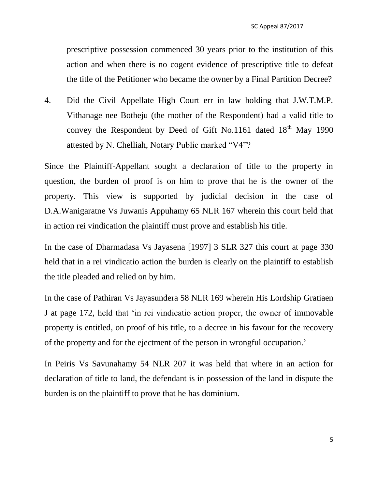prescriptive possession commenced 30 years prior to the institution of this action and when there is no cogent evidence of prescriptive title to defeat the title of the Petitioner who became the owner by a Final Partition Decree?

4. Did the Civil Appellate High Court err in law holding that J.W.T.M.P. Vithanage nee Botheju (the mother of the Respondent) had a valid title to convey the Respondent by Deed of Gift No.1161 dated  $18<sup>th</sup>$  May 1990 attested by N. Chelliah, Notary Public marked "V4"?

Since the Plaintiff-Appellant sought a declaration of title to the property in question, the burden of proof is on him to prove that he is the owner of the property. This view is supported by judicial decision in the case of D.A.Wanigaratne Vs Juwanis Appuhamy 65 NLR 167 wherein this court held that in action rei vindication the plaintiff must prove and establish his title.

In the case of Dharmadasa Vs Jayasena [1997] 3 SLR 327 this court at page 330 held that in a rei vindicatio action the burden is clearly on the plaintiff to establish the title pleaded and relied on by him.

In the case of Pathiran Vs Jayasundera 58 NLR 169 wherein His Lordship Gratiaen J at page 172, held that "in rei vindicatio action proper, the owner of immovable property is entitled, on proof of his title, to a decree in his favour for the recovery of the property and for the ejectment of the person in wrongful occupation."

In Peiris Vs Savunahamy 54 NLR 207 it was held that where in an action for declaration of title to land, the defendant is in possession of the land in dispute the burden is on the plaintiff to prove that he has dominium.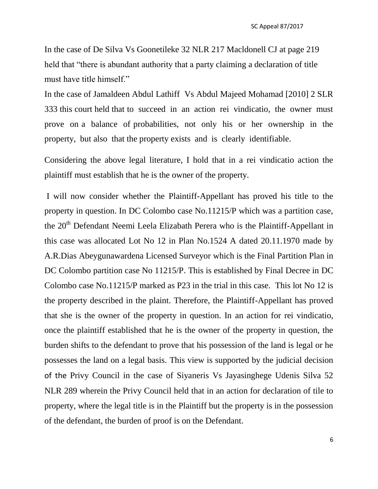In the case of De Silva Vs Goonetileke 32 NLR 217 Macldonell CJ at page 219 held that "there is abundant authority that a party claiming a declaration of title must have title himself."

In the case of Jamaldeen Abdul Lathiff Vs Abdul Majeed Mohamad [2010] 2 SLR 333 this court held that to succeed in an action rei vindicatio, the owner must prove on a balance of probabilities, not only his or her ownership in the property, but also that the property exists and is clearly identifiable.

Considering the above legal literature, I hold that in a rei vindicatio action the plaintiff must establish that he is the owner of the property.

I will now consider whether the Plaintiff-Appellant has proved his title to the property in question. In DC Colombo case No.11215/P which was a partition case, the 20<sup>th</sup> Defendant Neemi Leela Elizabath Perera who is the Plaintiff-Appellant in this case was allocated Lot No 12 in Plan No.1524 A dated 20.11.1970 made by A.R.Dias Abeygunawardena Licensed Surveyor which is the Final Partition Plan in DC Colombo partition case No 11215/P. This is established by Final Decree in DC Colombo case No.11215/P marked as P23 in the trial in this case. This lot No 12 is the property described in the plaint. Therefore, the Plaintiff-Appellant has proved that she is the owner of the property in question. In an action for rei vindicatio, once the plaintiff established that he is the owner of the property in question, the burden shifts to the defendant to prove that his possession of the land is legal or he possesses the land on a legal basis. This view is supported by the judicial decision of the Privy Council in the case of Siyaneris Vs Jayasinghege Udenis Silva 52 NLR 289 wherein the Privy Council held that in an action for declaration of tile to property, where the legal title is in the Plaintiff but the property is in the possession of the defendant, the burden of proof is on the Defendant.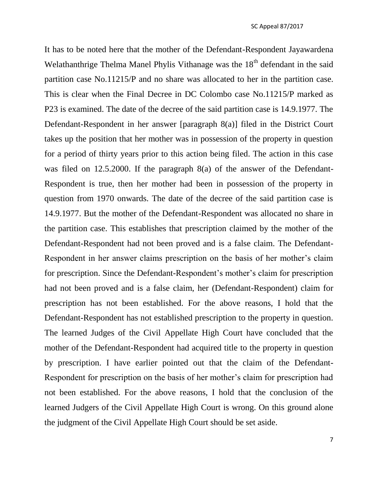It has to be noted here that the mother of the Defendant-Respondent Jayawardena Welathanthrige Thelma Manel Phylis Vithanage was the 18<sup>th</sup> defendant in the said partition case No.11215/P and no share was allocated to her in the partition case. This is clear when the Final Decree in DC Colombo case No.11215/P marked as P23 is examined. The date of the decree of the said partition case is 14.9.1977. The Defendant-Respondent in her answer [paragraph 8(a)] filed in the District Court takes up the position that her mother was in possession of the property in question for a period of thirty years prior to this action being filed. The action in this case was filed on 12.5.2000. If the paragraph 8(a) of the answer of the Defendant-Respondent is true, then her mother had been in possession of the property in question from 1970 onwards. The date of the decree of the said partition case is 14.9.1977. But the mother of the Defendant-Respondent was allocated no share in the partition case. This establishes that prescription claimed by the mother of the Defendant-Respondent had not been proved and is a false claim. The Defendant-Respondent in her answer claims prescription on the basis of her mother"s claim for prescription. Since the Defendant-Respondent's mother's claim for prescription had not been proved and is a false claim, her (Defendant-Respondent) claim for prescription has not been established. For the above reasons, I hold that the Defendant-Respondent has not established prescription to the property in question. The learned Judges of the Civil Appellate High Court have concluded that the mother of the Defendant-Respondent had acquired title to the property in question by prescription. I have earlier pointed out that the claim of the Defendant-Respondent for prescription on the basis of her mother"s claim for prescription had not been established. For the above reasons, I hold that the conclusion of the learned Judgers of the Civil Appellate High Court is wrong. On this ground alone the judgment of the Civil Appellate High Court should be set aside.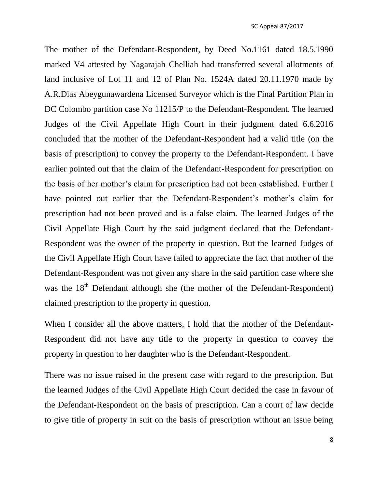The mother of the Defendant-Respondent, by Deed No.1161 dated 18.5.1990 marked V4 attested by Nagarajah Chelliah had transferred several allotments of land inclusive of Lot 11 and 12 of Plan No. 1524A dated 20.11.1970 made by A.R.Dias Abeygunawardena Licensed Surveyor which is the Final Partition Plan in DC Colombo partition case No 11215/P to the Defendant-Respondent. The learned Judges of the Civil Appellate High Court in their judgment dated 6.6.2016 concluded that the mother of the Defendant-Respondent had a valid title (on the basis of prescription) to convey the property to the Defendant-Respondent. I have earlier pointed out that the claim of the Defendant-Respondent for prescription on the basis of her mother"s claim for prescription had not been established. Further I have pointed out earlier that the Defendant-Respondent's mother's claim for prescription had not been proved and is a false claim. The learned Judges of the Civil Appellate High Court by the said judgment declared that the Defendant-Respondent was the owner of the property in question. But the learned Judges of the Civil Appellate High Court have failed to appreciate the fact that mother of the Defendant-Respondent was not given any share in the said partition case where she was the  $18<sup>th</sup>$  Defendant although she (the mother of the Defendant-Respondent) claimed prescription to the property in question.

When I consider all the above matters, I hold that the mother of the Defendant-Respondent did not have any title to the property in question to convey the property in question to her daughter who is the Defendant-Respondent.

There was no issue raised in the present case with regard to the prescription. But the learned Judges of the Civil Appellate High Court decided the case in favour of the Defendant-Respondent on the basis of prescription. Can a court of law decide to give title of property in suit on the basis of prescription without an issue being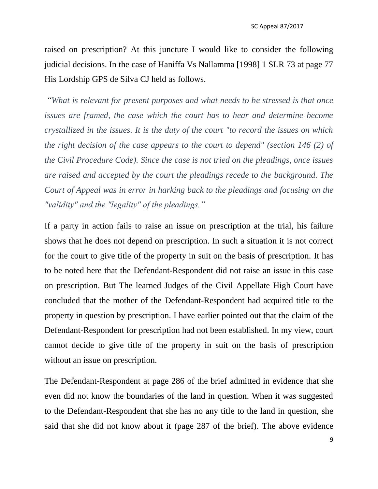raised on prescription? At this juncture I would like to consider the following judicial decisions. In the case of Haniffa Vs Nallamma [1998] 1 SLR 73 at page 77 His Lordship GPS de Silva CJ held as follows.

*"What is relevant for present purposes and what needs to be stressed is that once issues are framed, the case which the court has to hear and determine become crystallized in the issues. It is the duty of the court "to record the issues on which the right decision of the case appears to the court to depend" (section 146 (2) of the Civil Procedure Code). Since the case is not tried on the pleadings, once issues are raised and accepted by the court the pleadings recede to the background. The Court of Appeal was in error in harking back to the pleadings and focusing on the "validity" and the "legality" of the pleadings."*

If a party in action fails to raise an issue on prescription at the trial, his failure shows that he does not depend on prescription. In such a situation it is not correct for the court to give title of the property in suit on the basis of prescription. It has to be noted here that the Defendant-Respondent did not raise an issue in this case on prescription. But The learned Judges of the Civil Appellate High Court have concluded that the mother of the Defendant-Respondent had acquired title to the property in question by prescription. I have earlier pointed out that the claim of the Defendant-Respondent for prescription had not been established. In my view, court cannot decide to give title of the property in suit on the basis of prescription without an issue on prescription.

The Defendant-Respondent at page 286 of the brief admitted in evidence that she even did not know the boundaries of the land in question. When it was suggested to the Defendant-Respondent that she has no any title to the land in question, she said that she did not know about it (page 287 of the brief). The above evidence